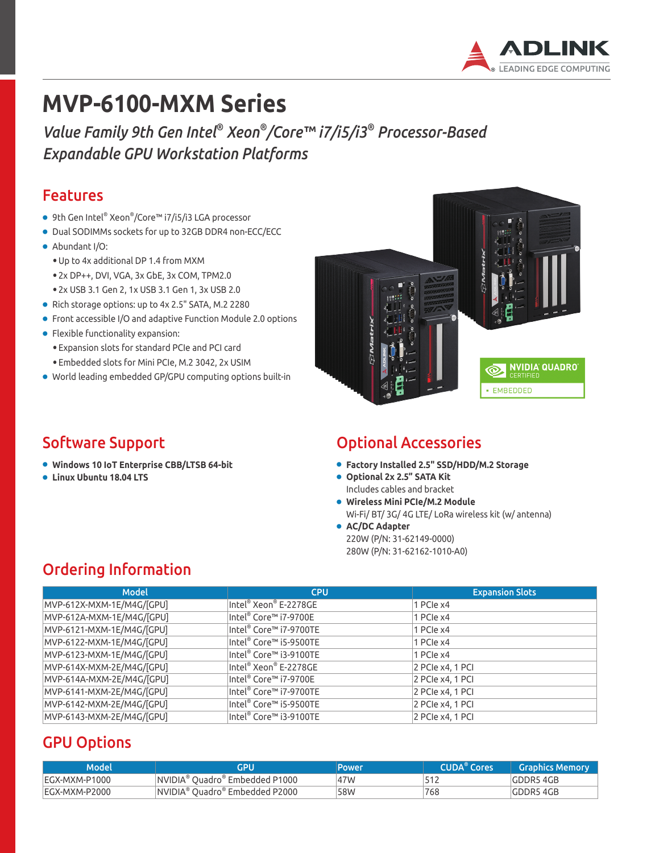

# **MVP-6100-MXM Series**

*Value Family 9th Gen Intel® Xeon® /Core™ i7/i5/i3® Processor-Based Expandable GPU Workstation Platforms*

#### Features

- 9th Gen Intel® Xeon® /Core™ i7/i5/i3 LGA processor
- Dual SODIMMs sockets for up to 32GB DDR4 non-ECC/ECC
- Abundant I/O:
	- Up to 4x additional DP 1.4 from MXM
	- 2x DP++, DVI, VGA, 3x GbE, 3x COM, TPM2.0
	- 2x USB 3.1 Gen 2, 1x USB 3.1 Gen 1, 3x USB 2.0
- Rich storage options: up to 4x 2.5" SATA, M.2 2280
- Front accessible I/O and adaptive Function Module 2.0 options
- Flexible functionality expansion:
- Expansion slots for standard PCIe and PCI card
- Embedded slots for Mini PCIe, M.2 3042, 2x USIM
- World leading embedded GP/GPU computing options built-in

#### Software Support

- **Windows 10 IoT Enterprise CBB/LTSB 64-bit**
- **Linux Ubuntu 18.04 LTS**



#### Optional Accessories

- **Factory Installed 2.5" SSD/HDD/M.2 Storage**
- **Optional 2x 2.5" SATA Kit**  Includes cables and bracket
- **Wireless Mini PCIe/M.2 Module** Wi-Fi/ BT/ 3G/ 4G LTE/ LoRa wireless kit (w/ antenna)
- **AC/DC Adapter** 220W (P/N: 31-62149-0000) 280W (P/N: 31-62162-1010-A0)

### Ordering Information

| <b>Model</b>              | <b>CPU</b>             | <b>Expansion Slots</b> |
|---------------------------|------------------------|------------------------|
| MVP-612X-MXM-1E/M4G/[GPU] | Intel® Xeon® E-2278GE  | 1 PCIe $x4$            |
| MVP-612A-MXM-1E/M4G/[GPU] | Intel® Core™ i7-9700E  | 1 PCIe x4              |
| MVP-6121-MXM-1E/M4G/[GPU] | Intel® Core™ i7-9700TE | 1 PCIe x4              |
| MVP-6122-MXM-1E/M4G/[GPU] | Intel® Core™ i5-9500TE | 1 PCIe x4              |
| MVP-6123-MXM-1E/M4G/[GPU] | Intel® Core™ i3-9100TE | 1 PCIe x4              |
| MVP-614X-MXM-2E/M4G/[GPU] | Intel® Xeon® E-2278GE  | 2 PCIe x4, 1 PCI       |
| MVP-614A-MXM-2E/M4G/[GPU] | Intel® Core™ i7-9700E  | 2 PCIe x4, 1 PCI       |
| MVP-6141-MXM-2E/M4G/[GPU] | Intel® Core™ i7-9700TE | 2 PCIe x4, 1 PCI       |
| MVP-6142-MXM-2E/M4G/[GPU] | Intel® Core™ i5-9500TE | 2 PCIe x4, 1 PCI       |
| MVP-6143-MXM-2E/M4G/[GPU] | Intel® Core™ i3-9100TE | 2 PCIe x4, 1 PCI       |

### GPU Options

| 'Model        | GPU                                        | Power | <b>CUDA</b> <sup>®</sup> Cores | <b>Graphics Memory</b> |
|---------------|--------------------------------------------|-------|--------------------------------|------------------------|
| EGX-MXM-P1000 | NVIDIA <sup>®</sup> Ouadro® Embedded P1000 | 47W   | 512                            | GDDR5 4GB              |
| EGX-MXM-P2000 | NVIDIA® Quadro® Embedded P2000             | 58W   | 768                            | <b>GDDR5 4GB</b>       |